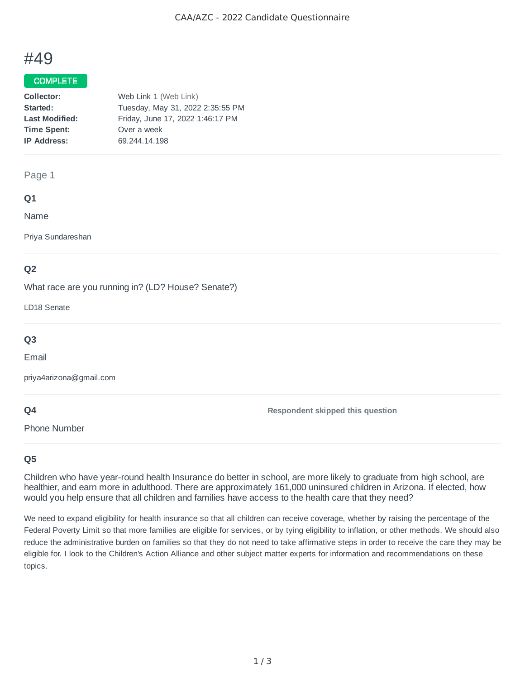# #49

## COMPLETE

#### Page 1

## **Q1**

Name

Priya Sundareshan

# **Q2**

What race are you running in? (LD? House? Senate?)

LD18 Senate

# **Q3**

Email

priya4arizona@gmail.com

# **Q4**

Phone Number

**Respondent skipped this question**

# **Q5**

Children who have year-round health Insurance do better in school, are more likely to graduate from high school, are healthier, and earn more in adulthood. There are approximately 161,000 uninsured children in Arizona. If elected, how would you help ensure that all children and families have access to the health care that they need?

We need to expand eligibility for health insurance so that all children can receive coverage, whether by raising the percentage of the Federal Poverty Limit so that more families are eligible for services, or by tying eligibility to inflation, or other methods. We should also reduce the administrative burden on families so that they do not need to take affirmative steps in order to receive the care they may be eligible for. I look to the Children's Action Alliance and other subject matter experts for information and recommendations on these topics.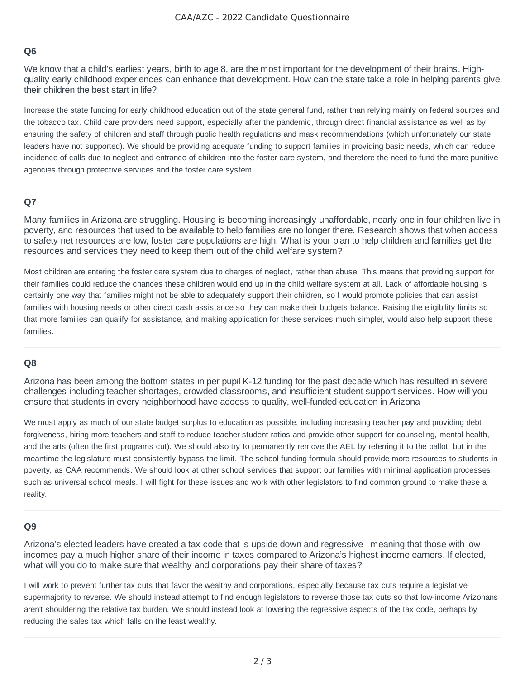## **Q6**

We know that a child's earliest years, birth to age 8, are the most important for the development of their brains. Highquality early childhood experiences can enhance that development. How can the state take a role in helping parents give their children the best start in life?

Increase the state funding for early childhood education out of the state general fund, rather than relying mainly on federal sources and the tobacco tax. Child care providers need support, especially after the pandemic, through direct financial assistance as well as by ensuring the safety of children and staff through public health regulations and mask recommendations (which unfortunately our state leaders have not supported). We should be providing adequate funding to support families in providing basic needs, which can reduce incidence of calls due to neglect and entrance of children into the foster care system, and therefore the need to fund the more punitive agencies through protective services and the foster care system.

#### **Q7**

Many families in Arizona are struggling. Housing is becoming increasingly unaffordable, nearly one in four children live in poverty, and resources that used to be available to help families are no longer there. Research shows that when access to safety net resources are low, foster care populations are high. What is your plan to help children and families get the resources and services they need to keep them out of the child welfare system?

Most children are entering the foster care system due to charges of neglect, rather than abuse. This means that providing support for their families could reduce the chances these children would end up in the child welfare system at all. Lack of affordable housing is certainly one way that families might not be able to adequately support their children, so I would promote policies that can assist families with housing needs or other direct cash assistance so they can make their budgets balance. Raising the eligibility limits so that more families can qualify for assistance, and making application for these services much simpler, would also help support these families.

#### **Q8**

Arizona has been among the bottom states in per pupil K-12 funding for the past decade which has resulted in severe challenges including teacher shortages, crowded classrooms, and insufficient student support services. How will you ensure that students in every neighborhood have access to quality, well-funded education in Arizona

We must apply as much of our state budget surplus to education as possible, including increasing teacher pay and providing debt forgiveness, hiring more teachers and staff to reduce teacher-student ratios and provide other support for counseling, mental health, and the arts (often the first programs cut). We should also try to permanently remove the AEL by referring it to the ballot, but in the meantime the legislature must consistently bypass the limit. The school funding formula should provide more resources to students in poverty, as CAA recommends. We should look at other school services that support our families with minimal application processes, such as universal school meals. I will fight for these issues and work with other legislators to find common ground to make these a reality.

#### **Q9**

Arizona's elected leaders have created a tax code that is upside down and regressive– meaning that those with low incomes pay a much higher share of their income in taxes compared to Arizona's highest income earners. If elected, what will you do to make sure that wealthy and corporations pay their share of taxes?

I will work to prevent further tax cuts that favor the wealthy and corporations, especially because tax cuts require a legislative supermajority to reverse. We should instead attempt to find enough legislators to reverse those tax cuts so that low-income Arizonans aren't shouldering the relative tax burden. We should instead look at lowering the regressive aspects of the tax code, perhaps by reducing the sales tax which falls on the least wealthy.